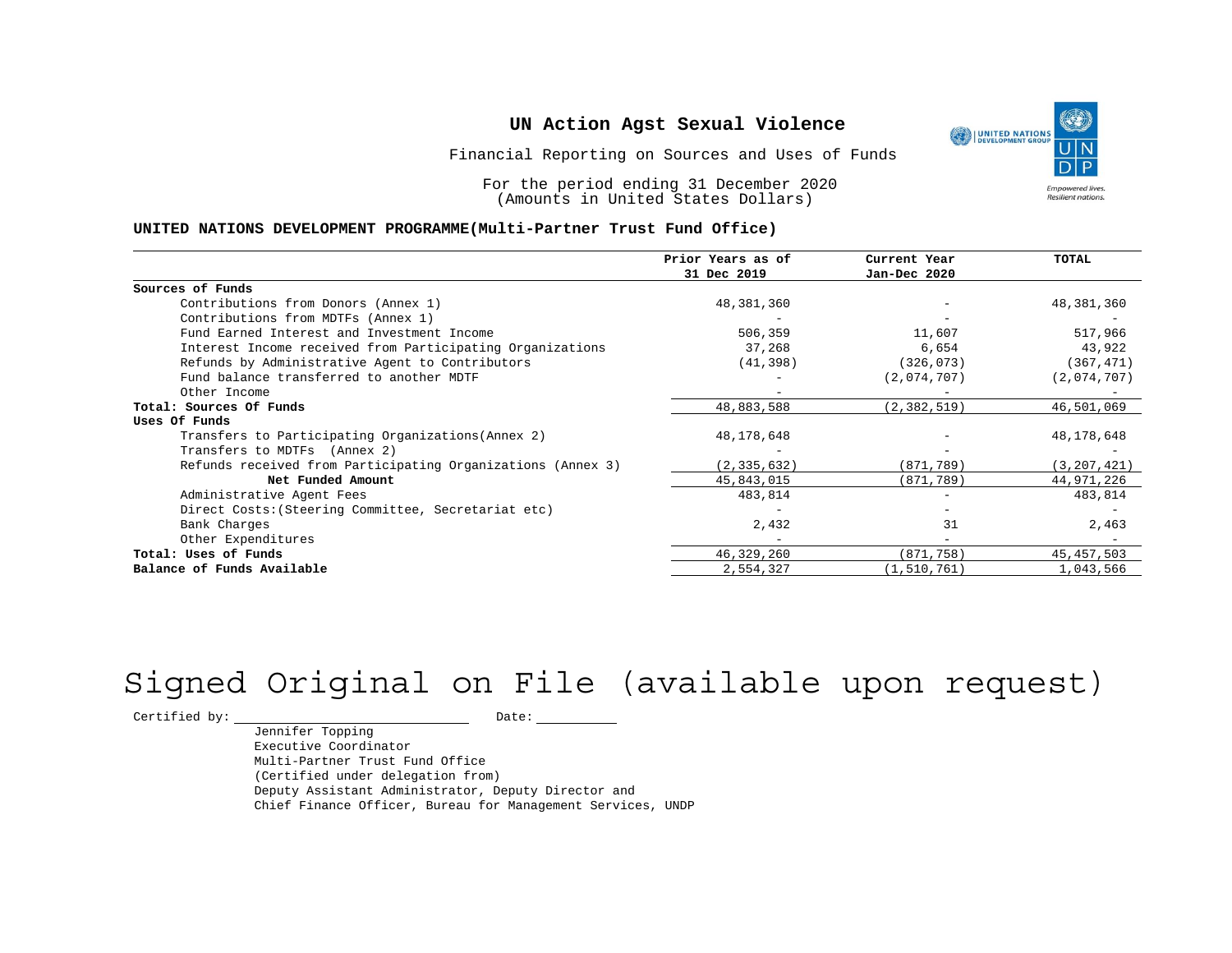Financial Reporting on Sources and Uses of Funds

For the period ending 31 December 2020 (Amounts in United States Dollars)

#### **UNITED NATIONS DEVELOPMENT PROGRAMME(Multi-Partner Trust Fund Office)**

|                                                             | Prior Years as of | Current Year  | TOTAL         |
|-------------------------------------------------------------|-------------------|---------------|---------------|
|                                                             | 31 Dec 2019       | Jan-Dec 2020  |               |
| Sources of Funds                                            |                   |               |               |
| Contributions from Donors (Annex 1)                         | 48,381,360        |               | 48,381,360    |
| Contributions from MDTFs (Annex 1)                          |                   |               |               |
| Fund Earned Interest and Investment Income                  | 506,359           | 11,607        | 517,966       |
| Interest Income received from Participating Organizations   | 37,268            | 6,654         | 43,922        |
| Refunds by Administrative Agent to Contributors             | (41, 398)         | (326, 073)    | (367, 471)    |
| Fund balance transferred to another MDTF                    |                   | (2,074,707)   | (2,074,707)   |
| Other Income                                                |                   |               |               |
| Total: Sources Of Funds                                     | 48,883,588        | (2, 382, 519) | 46,501,069    |
| Uses Of Funds                                               |                   |               |               |
| Transfers to Participating Organizations (Annex 2)          | 48, 178, 648      |               | 48, 178, 648  |
| Transfers to MDTFs (Annex 2)                                |                   |               |               |
| Refunds received from Participating Organizations (Annex 3) | (2, 335, 632)     | (871,789)     | (3, 207, 421) |
| Net Funded Amount                                           | 45,843,015        | (871,789)     | 44,971,226    |
| Administrative Agent Fees                                   | 483,814           |               | 483,814       |
| Direct Costs: (Steering Committee, Secretariat etc)         |                   |               |               |
| Bank Charges                                                | 2,432             | 31            | 2,463         |
| Other Expenditures                                          |                   |               |               |
| Total: Uses of Funds                                        | 46,329,260        | (871,758)     | 45, 457, 503  |
| Balance of Funds Available                                  | 2,554,327         | (1, 510, 761) | 1,043,566     |

# Signed Original on File (available upon request)

Certified by: Date:

Jennifer Topping Executive Coordinator Multi-Partner Trust Fund Office (Certified under delegation from) Deputy Assistant Administrator, Deputy Director and Chief Finance Officer, Bureau for Management Services, UNDP

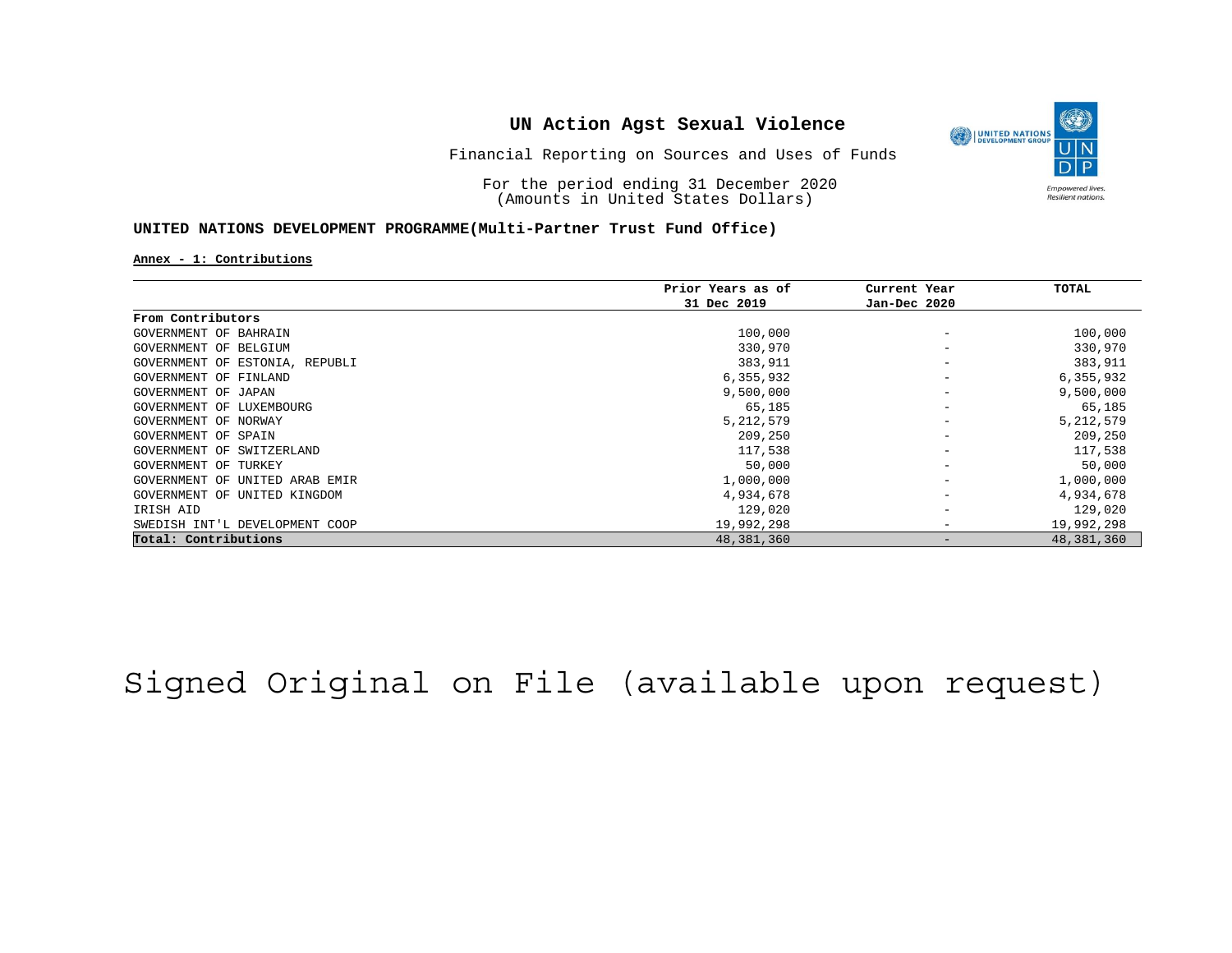

Financial Reporting on Sources and Uses of Funds

For the period ending 31 December 2020 (Amounts in United States Dollars)

#### **UNITED NATIONS DEVELOPMENT PROGRAMME(Multi-Partner Trust Fund Office)**

#### **Annex - 1: Contributions**

|                                | Prior Years as of | Current Year    | TOTAL       |
|--------------------------------|-------------------|-----------------|-------------|
|                                | 31 Dec 2019       | Jan-Dec 2020    |             |
| From Contributors              |                   |                 |             |
| GOVERNMENT OF BAHRAIN          | 100,000           |                 | 100,000     |
| GOVERNMENT OF BELGIUM          | 330,970           | -               | 330,970     |
| GOVERNMENT OF ESTONIA, REPUBLI | 383,911           |                 | 383,911     |
| GOVERNMENT OF FINLAND          | 6,355,932         |                 | 6,355,932   |
| GOVERNMENT OF JAPAN            | 9,500,000         |                 | 9,500,000   |
| GOVERNMENT OF LUXEMBOURG       | 65,185            |                 | 65,185      |
| GOVERNMENT OF NORWAY           | 5, 212, 579       |                 | 5, 212, 579 |
| GOVERNMENT OF SPAIN            | 209,250           |                 | 209,250     |
| GOVERNMENT OF SWITZERLAND      | 117,538           |                 | 117,538     |
| GOVERNMENT OF TURKEY           | 50,000            |                 | 50,000      |
| GOVERNMENT OF UNITED ARAB EMIR | 1,000,000         |                 | 1,000,000   |
| GOVERNMENT OF UNITED KINGDOM   | 4,934,678         |                 | 4,934,678   |
| IRISH AID                      | 129,020           | $\qquad \qquad$ | 129,020     |
| SWEDISH INT'L DEVELOPMENT COOP | 19,992,298        |                 | 19,992,298  |
| Total: Contributions           | 48,381,360        |                 | 48,381,360  |

Signed Original on File (available upon request)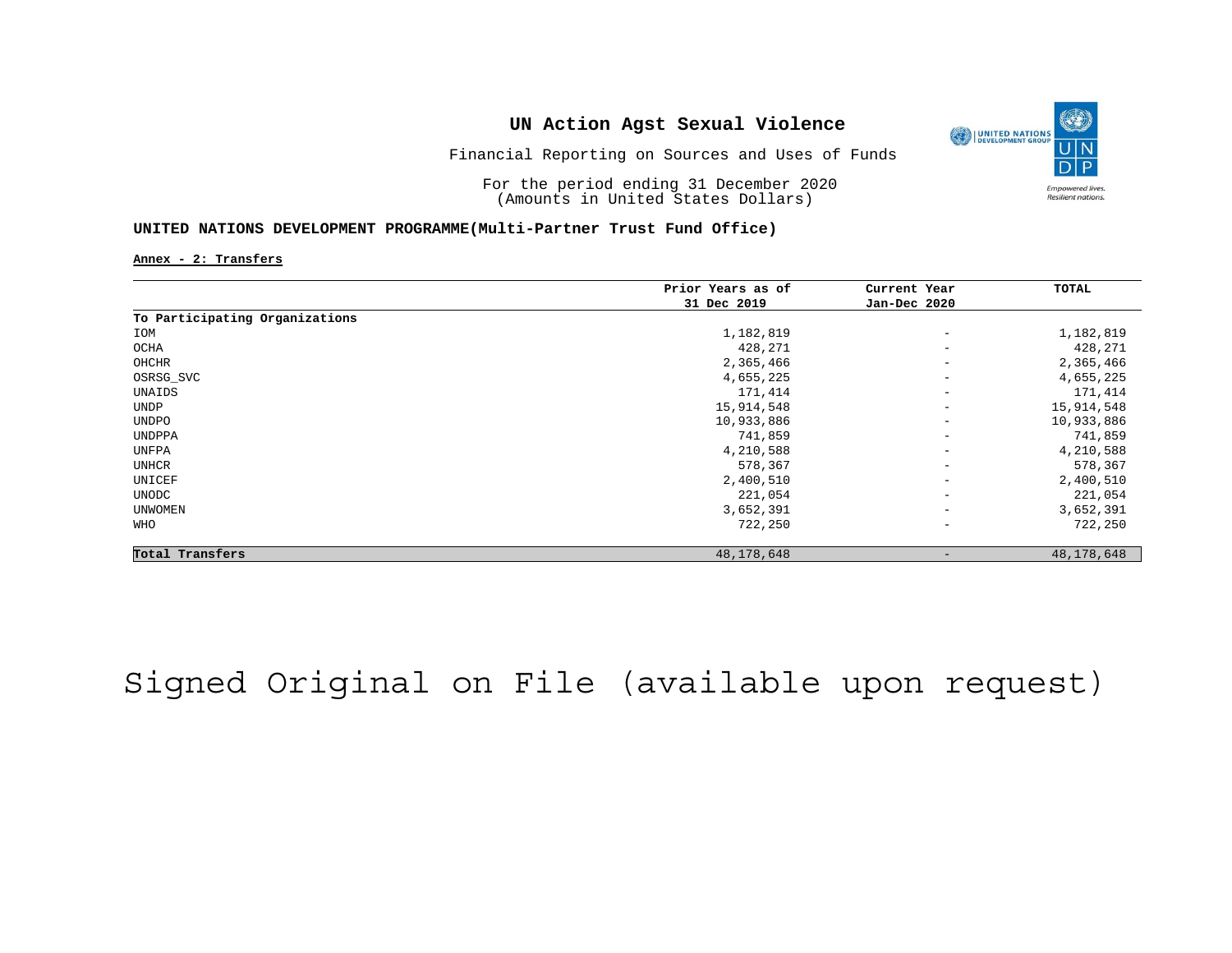

Financial Reporting on Sources and Uses of Funds

For the period ending 31 December 2020 (Amounts in United States Dollars)

#### **UNITED NATIONS DEVELOPMENT PROGRAMME(Multi-Partner Trust Fund Office)**

**Annex - 2: Transfers**

|                                | Prior Years as of<br>31 Dec 2019 | Current Year<br>Jan-Dec 2020 | TOTAL        |
|--------------------------------|----------------------------------|------------------------------|--------------|
|                                |                                  |                              |              |
| To Participating Organizations |                                  |                              |              |
| IOM                            | 1,182,819                        | $\qquad \qquad -$            | 1,182,819    |
| OCHA                           | 428,271                          | $\overline{\phantom{m}}$     | 428,271      |
| OHCHR                          | 2,365,466                        | $\overline{\phantom{m}}$     | 2,365,466    |
| OSRSG_SVC                      | 4,655,225                        | $\overline{\phantom{m}}$     | 4,655,225    |
| UNAIDS                         | 171,414                          | $\overline{\phantom{m}}$     | 171,414      |
| UNDP                           | 15,914,548                       | $\qquad \qquad -$            | 15,914,548   |
| UNDPO                          | 10,933,886                       | $\overline{\phantom{a}}$     | 10,933,886   |
| UNDPPA                         | 741,859                          | $\qquad \qquad -$            | 741,859      |
| UNFPA                          | 4,210,588                        | $\overline{\phantom{m}}$     | 4,210,588    |
| UNHCR                          | 578,367                          | $\overline{\phantom{m}}$     | 578,367      |
| UNICEF                         | 2,400,510                        | $\overline{\phantom{m}}$     | 2,400,510    |
| UNODC                          | 221,054                          | $\overline{\phantom{m}}$     | 221,054      |
| <b>UNWOMEN</b>                 | 3,652,391                        | $\overline{\phantom{m}}$     | 3,652,391    |
| WHO                            | 722,250                          | $\overline{\phantom{m}}$     | 722,250      |
| Total Transfers                | 48, 178, 648                     |                              | 48, 178, 648 |

## Signed Original on File (available upon request)